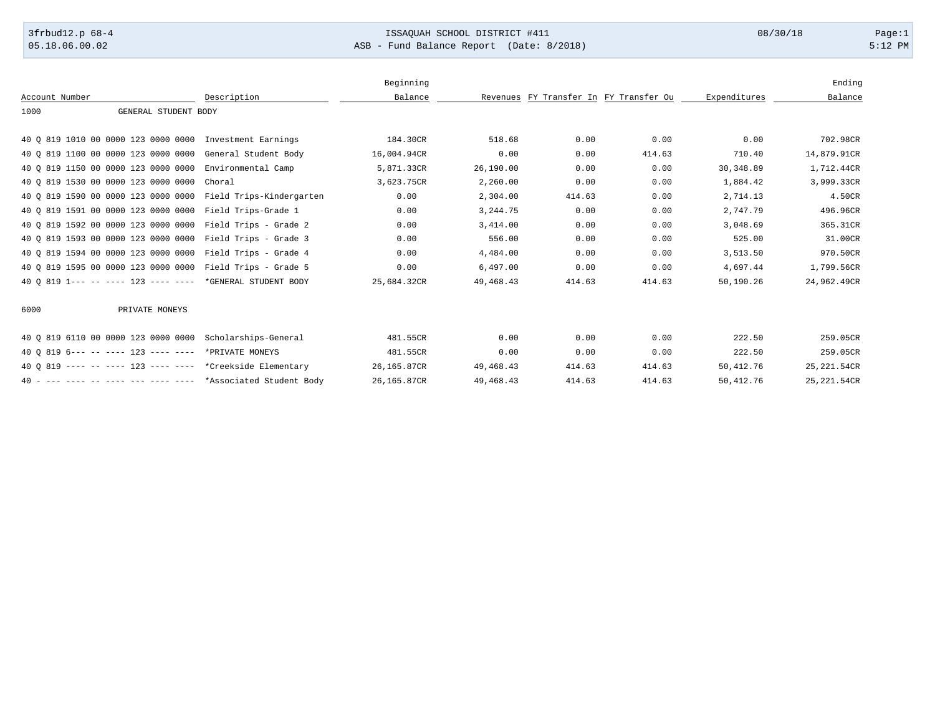## 3frbud12.p 68-4 **ISSAQUAH SCHOOL DISTRICT #411** 08/30/18 Page:1

05.18.06.00.02 ASB - Fund Balance Report (Date: 8/2018) 5:12 PM

|                                                              |                      | Beginning   |             |                                        |        |              | Ending       |
|--------------------------------------------------------------|----------------------|-------------|-------------|----------------------------------------|--------|--------------|--------------|
| Account Number                                               | Description          | Balance     |             | Revenues FY Transfer In FY Transfer Ou |        | Expenditures | Balance      |
| 1000<br>GENERAL STUDENT BODY                                 |                      |             |             |                                        |        |              |              |
|                                                              |                      |             |             |                                        |        |              |              |
| 40 0 819 1010 00 0000 123 0000 0000 Investment Earnings      |                      | 184.30CR    | 518.68      | 0.00                                   | 0.00   | 0.00         | 702.98CR     |
| 40 0 819 1100 00 0000 123 0000 0000                          | General Student Body | 16,004.94CR | 0.00        | 0.00                                   | 414.63 | 710.40       | 14,879.91CR  |
| 40 0 819 1150 00 0000 123 0000 0000                          | Environmental Camp   | 5,871.33CR  | 26,190.00   | 0.00                                   | 0.00   | 30,348.89    | 1,712.44CR   |
| 40 0 819 1530 00 0000 123 0000 0000                          | Choral               | 3,623.75CR  | 2,260.00    | 0.00                                   | 0.00   | 1,884.42     | 3,999.33CR   |
| 40 0 819 1590 00 0000 123 0000 0000 Field Trips-Kindergarten |                      | 0.00        | 2,304.00    | 414.63                                 | 0.00   | 2,714.13     | 4.50CR       |
| 40 0 819 1591 00 0000 123 0000 0000 Field Trips-Grade 1      |                      | 0.00        | 3, 244.75   | 0.00                                   | 0.00   | 2,747.79     | 496.96CR     |
| 40 0 819 1592 00 0000 123 0000 0000 Field Trips - Grade 2    |                      | 0.00        | 3,414.00    | 0.00                                   | 0.00   | 3,048.69     | 365.31CR     |
| 40 0 819 1593 00 0000 123 0000 0000 Field Trips - Grade 3    |                      | 0.00        | 556.00      | 0.00                                   | 0.00   | 525.00       | 31.00CR      |
| 40 0 819 1594 00 0000 123 0000 0000 Field Trips - Grade 4    |                      | 0.00        | 4,484.00    | 0.00                                   | 0.00   | 3,513.50     | 970.50CR     |
| 40 0 819 1595 00 0000 123 0000 0000 Field Trips - Grade 5    |                      | 0.00        | 6,497.00    | 0.00                                   | 0.00   | 4,697.44     | 1,799.56CR   |
| 40 0 819 1--- -- ---- 123 ---- ---- *GENERAL STUDENT BODY    |                      | 25,684.32CR | 49, 468. 43 | 414.63                                 | 414.63 | 50,190.26    | 24,962.49CR  |
|                                                              |                      |             |             |                                        |        |              |              |
| 6000<br>PRIVATE MONEYS                                       |                      |             |             |                                        |        |              |              |
|                                                              |                      |             |             |                                        |        |              |              |
| 40 0 819 6110 00 0000 123 0000 0000 Scholarships-General     |                      | 481.55CR    | 0.00        | 0.00                                   | 0.00   | 222.50       | 259.05CR     |
| 40 0 819 6--- -- ---- 123 ---- ---- *PRIVATE MONEYS          |                      | 481.55CR    | 0.00        | 0.00                                   | 0.00   | 222.50       | 259.05CR     |
| 40 0 819 ---- -- ---- 123 ---- ---- *Creekside Elementary    |                      | 26,165.87CR | 49, 468. 43 | 414.63                                 | 414.63 | 50,412.76    | 25, 221.54CR |
| 40 - --- ---- -- ---- --- ---- ---- *Associated Student Body |                      | 26,165.87CR | 49, 468. 43 | 414.63                                 | 414.63 | 50,412.76    | 25, 221.54CR |